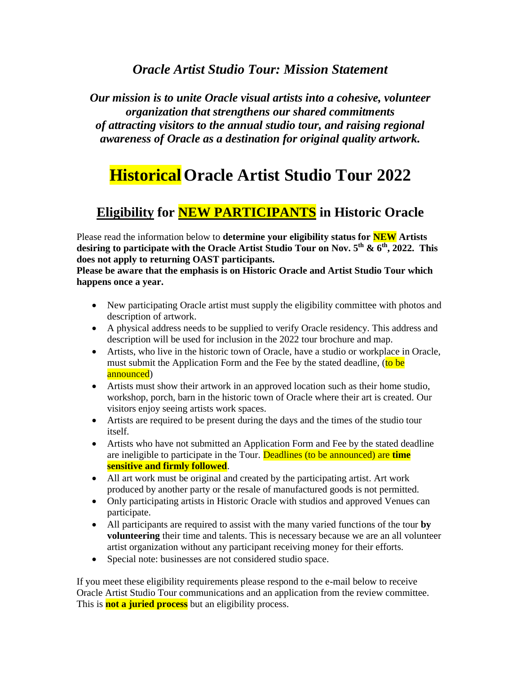## *Oracle Artist Studio Tour: Mission Statement*

*Our mission is to unite Oracle visual artists into a cohesive, volunteer organization that strengthens our shared commitments of attracting visitors to the annual studio tour, and raising regional awareness of Oracle as a destination for original quality artwork.*

# **HistoricalOracle Artist Studio Tour 2022**

# **Eligibility for NEW PARTICIPANTS in Historic Oracle**

Please read the information below to **determine your eligibility status for NEW Artists desiring to participate with the Oracle Artist Studio Tour on Nov. 5th & 6th , 2022. This does not apply to returning OAST participants.**

**Please be aware that the emphasis is on Historic Oracle and Artist Studio Tour which happens once a year.** 

- New participating Oracle artist must supply the eligibility committee with photos and description of artwork.
- A physical address needs to be supplied to verify Oracle residency. This address and description will be used for inclusion in the 2022 tour brochure and map.
- Artists, who live in the historic town of Oracle, have a studio or workplace in Oracle, must submit the Application Form and the Fee by the stated deadline, (to be announced)
- Artists must show their artwork in an approved location such as their home studio, workshop, porch, barn in the historic town of Oracle where their art is created. Our visitors enjoy seeing artists work spaces.
- Artists are required to be present during the days and the times of the studio tour itself.
- Artists who have not submitted an Application Form and Fee by the stated deadline are ineligible to participate in the Tour. Deadlines (to be announced) are **time sensitive and firmly followed**.
- All art work must be original and created by the participating artist. Art work produced by another party or the resale of manufactured goods is not permitted.
- Only participating artists in Historic Oracle with studios and approved Venues can participate.
- All participants are required to assist with the many varied functions of the tour **by volunteering** their time and talents. This is necessary because we are an all volunteer artist organization without any participant receiving money for their efforts.
- Special note: businesses are not considered studio space.

If you meet these eligibility requirements please respond to the e-mail below to receive Oracle Artist Studio Tour communications and an application from the review committee. This is **not a juried process** but an eligibility process.